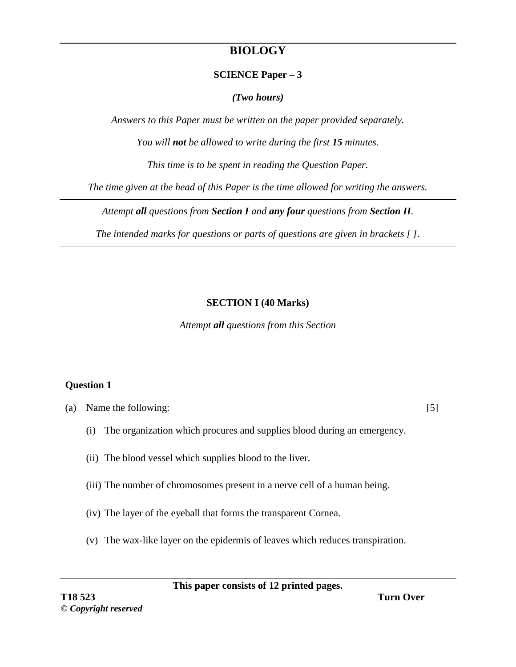# **BIOLOGY**

#### **SCIENCE Paper – 3**

*(Two hours)*

*Answers to this Paper must be written on the paper provided separately.*

*You will not be allowed to write during the first 15 minutes.*

*This time is to be spent in reading the Question Paper.*

*The time given at the head of this Paper is the time allowed for writing the answers.*

*Attempt all questions from Section I and any four questions from Section II.*

*The intended marks for questions or parts of questions are given in brackets [ ].*

### **SECTION I (40 Marks)**

*Attempt all questions from this Section* 

### **Question 1**

(a) Name the following: [5]

- (i) The organization which procures and supplies blood during an emergency.
- (ii) The blood vessel which supplies blood to the liver.
- (iii) The number of chromosomes present in a nerve cell of a human being.
- (iv) The layer of the eyeball that forms the transparent Cornea.
- (v) The wax-like layer on the epidermis of leaves which reduces transpiration.

**This paper consists of 12 printed pages.**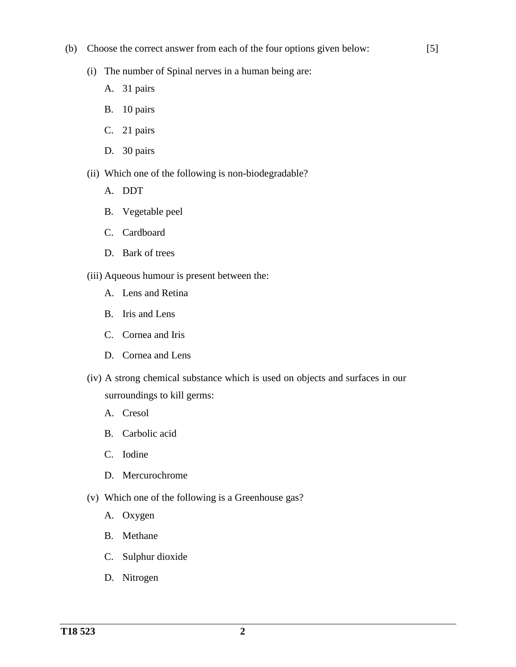(b) Choose the correct answer from each of the four options given below:

[5]

- (i) The number of Spinal nerves in a human being are:
	- A. 31 pairs
	- B. 10 pairs
	- C. 21 pairs
	- D. 30 pairs
- (ii) Which one of the following is non-biodegradable?
	- A. DDT
	- B. Vegetable peel
	- C. Cardboard
	- D. Bark of trees
- (iii) Aqueous humour is present between the:
	- A. Lens and Retina
	- B. Iris and Lens
	- C. Cornea and Iris
	- D. Cornea and Lens
- (iv) A strong chemical substance which is used on objects and surfaces in our surroundings to kill germs:
	- A. Cresol
	- B. Carbolic acid
	- C. Iodine
	- D. Mercurochrome
- (v) Which one of the following is a Greenhouse gas?
	- A. Oxygen
	- B. Methane
	- C. Sulphur dioxide
	- D. Nitrogen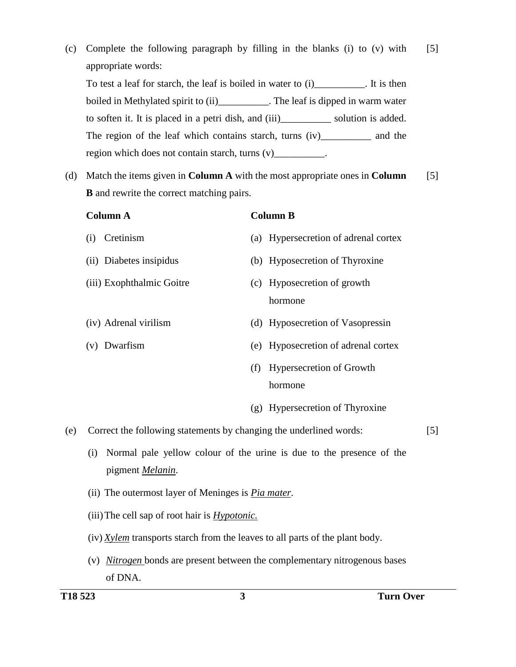- (c) Complete the following paragraph by filling in the blanks (i) to (v) with appropriate words: To test a leaf for starch, the leaf is boiled in water to (i) [11]. It is then boiled in Methylated spirit to (ii)\_\_\_\_\_\_\_\_\_\_\_. The leaf is dipped in warm water to soften it. It is placed in a petri dish, and (iii)\_\_\_\_\_\_\_\_\_\_ solution is added. The region of the leaf which contains starch, turns (iv)\_\_\_\_\_\_\_\_\_\_\_\_ and the region which does not contain starch, turns (v)\_\_\_\_\_\_\_\_\_\_\_. [5] (d) Match the items given in **Column A** with the most appropriate ones in **Column B** and rewrite the correct matching pairs. [5] **Column A** (i) Cretinism (ii) Diabetes insipidus (iii) Exophthalmic Goitre (iv) Adrenal virilism (v) Dwarfism **Column B** (a) Hypersecretion of adrenal cortex (b) Hyposecretion of Thyroxine (c) Hyposecretion of growth hormone (d) Hyposecretion of Vasopressin (e) Hyposecretion of adrenal cortex (f) Hypersecretion of Growth hormone (g) Hypersecretion of Thyroxine (e) Correct the following statements by changing the underlined words: (i) Normal pale yellow colour of the urine is due to the presence of the [5]
	- (ii) The outermost layer of Meninges is *Pia mater*.
	- (iii)The cell sap of root hair is *Hypotonic.*

pigment *Melanin*.

- (iv) *Xylem* transports starch from the leaves to all parts of the plant body.
- (v) *Nitrogen* bonds are present between the complementary nitrogenous bases of DNA.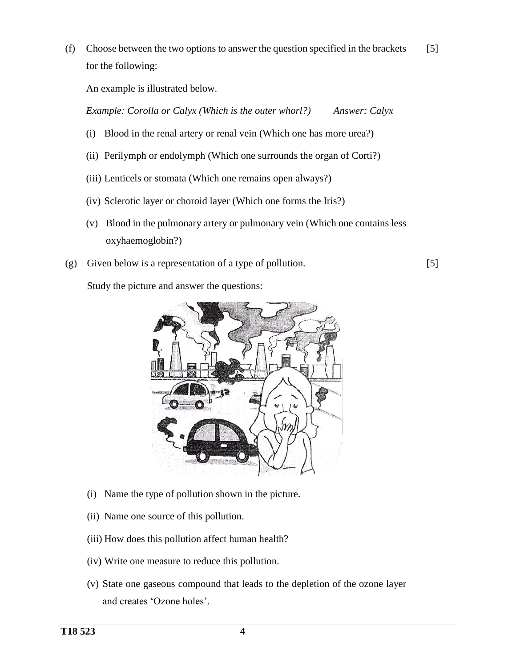(f) Choose between the two options to answer the question specified in the brackets for the following: [5]

An example is illustrated below.

*Example: Corolla or Calyx (Which is the outer whorl?) Answer: Calyx*

- (i) Blood in the renal artery or renal vein (Which one has more urea?)
- (ii) Perilymph or endolymph (Which one surrounds the organ of Corti?)
- (iii) Lenticels or stomata (Which one remains open always?)
- (iv) Sclerotic layer or choroid layer (Which one forms the Iris?)
- (v) Blood in the pulmonary artery or pulmonary vein (Which one contains less oxyhaemoglobin?)
- (g) Given below is a representation of a type of pollution.

[5]

Study the picture and answer the questions:



- (i) Name the type of pollution shown in the picture.
- (ii) Name one source of this pollution.
- (iii) How does this pollution affect human health?
- (iv) Write one measure to reduce this pollution.
- (v) State one gaseous compound that leads to the depletion of the ozone layer and creates 'Ozone holes'.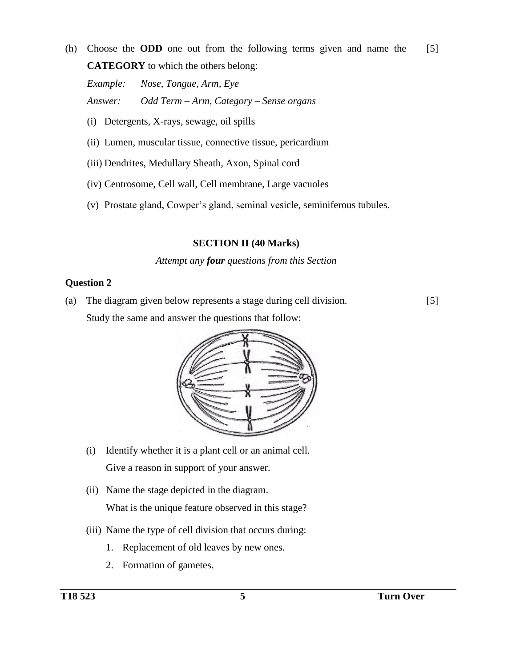(h) Choose the **ODD** one out from the following terms given and name the **CATEGORY** to which the others belong: [5]

*Example: Nose, Tongue, Arm, Eye Answer: Odd Term – Arm, Category – Sense organs*

- (i) Detergents, X-rays, sewage, oil spills
- (ii) Lumen, muscular tissue, connective tissue, pericardium
- (iii) Dendrites, Medullary Sheath, Axon, Spinal cord
- (iv) Centrosome, Cell wall, Cell membrane, Large vacuoles
- (v) Prostate gland, Cowper's gland, seminal vesicle, seminiferous tubules.

### **SECTION II (40 Marks)**

### *Attempt any four questions from this Section*

### **Question 2**

(a) The diagram given below represents a stage during cell division. Study the same and answer the questions that follow: [5]



- (i) Identify whether it is a plant cell or an animal cell. Give a reason in support of your answer.
- (ii) Name the stage depicted in the diagram. What is the unique feature observed in this stage?
- (iii) Name the type of cell division that occurs during:
	- 1. Replacement of old leaves by new ones.
	- 2. Formation of gametes.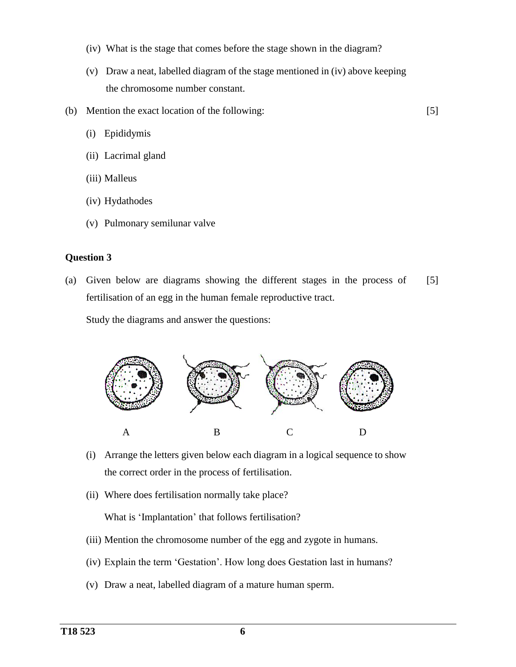- (iv) What is the stage that comes before the stage shown in the diagram?
- (v) Draw a neat, labelled diagram of the stage mentioned in (iv) above keeping the chromosome number constant.
- (b) Mention the exact location of the following:

[5]

- (i) Epididymis
- (ii) Lacrimal gland
- (iii) Malleus
- (iv) Hydathodes
- (v) Pulmonary semilunar valve

#### **Question 3**

(a) Given below are diagrams showing the different stages in the process of fertilisation of an egg in the human female reproductive tract. [5]

Study the diagrams and answer the questions:



- (i) Arrange the letters given below each diagram in a logical sequence to show the correct order in the process of fertilisation.
- (ii) Where does fertilisation normally take place?

What is 'Implantation' that follows fertilisation?

- (iii) Mention the chromosome number of the egg and zygote in humans.
- (iv) Explain the term 'Gestation'. How long does Gestation last in humans?
- (v) Draw a neat, labelled diagram of a mature human sperm.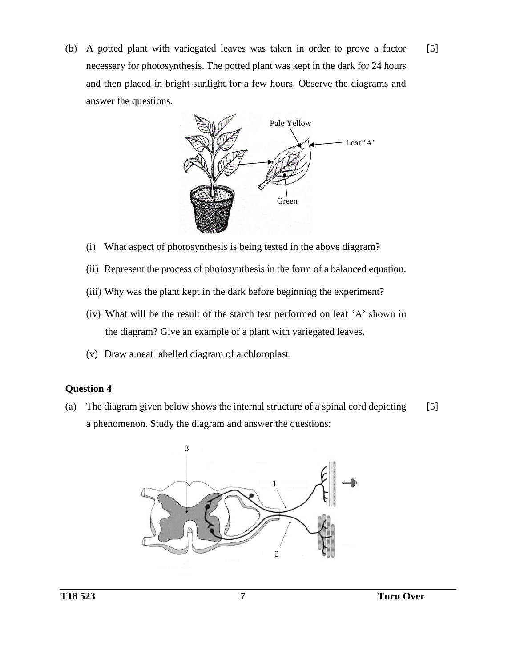(b) A potted plant with variegated leaves was taken in order to prove a factor necessary for photosynthesis. The potted plant was kept in the dark for 24 hours and then placed in bright sunlight for a few hours. Observe the diagrams and answer the questions. [5]



- (i) What aspect of photosynthesis is being tested in the above diagram?
- (ii) Represent the process of photosynthesis in the form of a balanced equation.
- (iii) Why was the plant kept in the dark before beginning the experiment?
- (iv) What will be the result of the starch test performed on leaf 'A' shown in the diagram? Give an example of a plant with variegated leaves.
- (v) Draw a neat labelled diagram of a chloroplast.

### **Question 4**

(a) The diagram given below shows the internal structure of a spinal cord depicting a phenomenon. Study the diagram and answer the questions: [5]

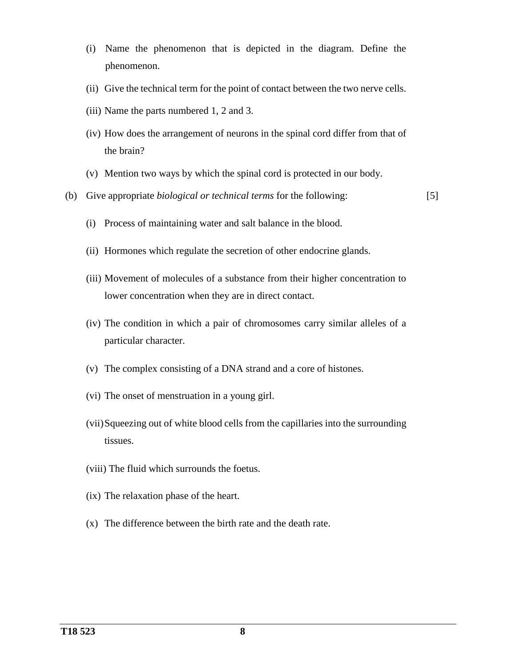- (i) Name the phenomenon that is depicted in the diagram. Define the phenomenon.
- (ii) Give the technical term for the point of contact between the two nerve cells.
- (iii) Name the parts numbered 1, 2 and 3.
- (iv) How does the arrangement of neurons in the spinal cord differ from that of the brain?
- (v) Mention two ways by which the spinal cord is protected in our body.
- (b) Give appropriate *biological or technical terms* for the following:

[5]

- (i) Process of maintaining water and salt balance in the blood.
- (ii) Hormones which regulate the secretion of other endocrine glands.
- (iii) Movement of molecules of a substance from their higher concentration to lower concentration when they are in direct contact.
- (iv) The condition in which a pair of chromosomes carry similar alleles of a particular character.
- (v) The complex consisting of a DNA strand and a core of histones.
- (vi) The onset of menstruation in a young girl.
- (vii)Squeezing out of white blood cells from the capillaries into the surrounding tissues.
- (viii) The fluid which surrounds the foetus.
- (ix) The relaxation phase of the heart.
- (x) The difference between the birth rate and the death rate.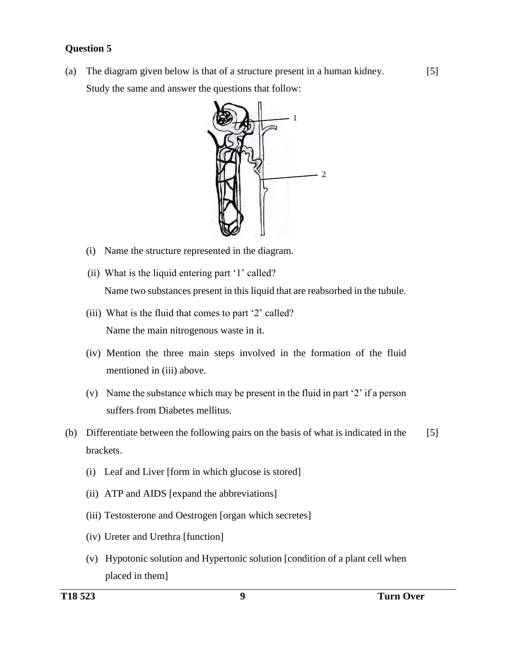### **Question 5**

(a) The diagram given below is that of a structure present in a human kidney. Study the same and answer the questions that follow:



- (i) Name the structure represented in the diagram.
- (ii) What is the liquid entering part '1' called? Name two substances present in this liquid that are reabsorbed in the tubule.
- (iii) What is the fluid that comes to part '2' called? Name the main nitrogenous waste in it.
- (iv) Mention the three main steps involved in the formation of the fluid mentioned in (iii) above.
- (v) Name the substance which may be present in the fluid in part '2' if a person suffers from Diabetes mellitus.
- (b) Differentiate between the following pairs on the basis of what is indicated in the brackets. [5]
	- (i) Leaf and Liver [form in which glucose is stored]
	- (ii) ATP and AIDS [expand the abbreviations]
	- (iii) Testosterone and Oestrogen [organ which secretes]
	- (iv) Ureter and Urethra [function]
	- (v) Hypotonic solution and Hypertonic solution [condition of a plant cell when placed in them]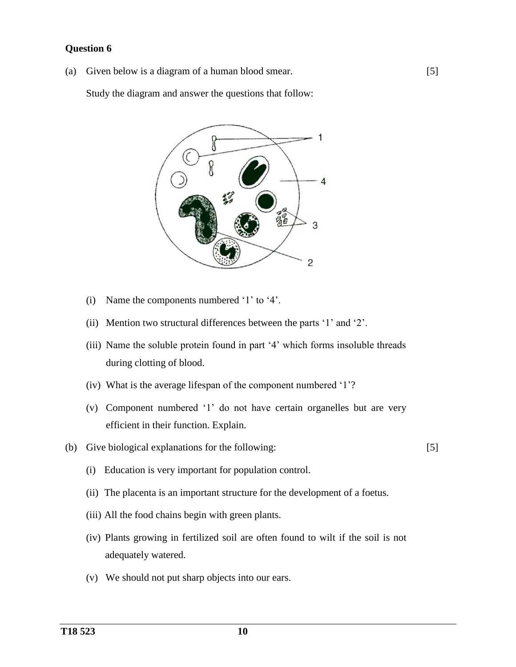### **Question 6**

(a) Given below is a diagram of a human blood smear.

Study the diagram and answer the questions that follow:



- (i) Name the components numbered '1' to '4'.
- (ii) Mention two structural differences between the parts '1' and '2'.
- (iii) Name the soluble protein found in part '4' which forms insoluble threads during clotting of blood.
- (iv) What is the average lifespan of the component numbered '1'?
- (v) Component numbered '1' do not have certain organelles but are very efficient in their function. Explain.
- (b) Give biological explanations for the following:
	- (i) Education is very important for population control.
	- (ii) The placenta is an important structure for the development of a foetus.
	- (iii) All the food chains begin with green plants.
	- (iv) Plants growing in fertilized soil are often found to wilt if the soil is not adequately watered.
	- (v) We should not put sharp objects into our ears.

[5]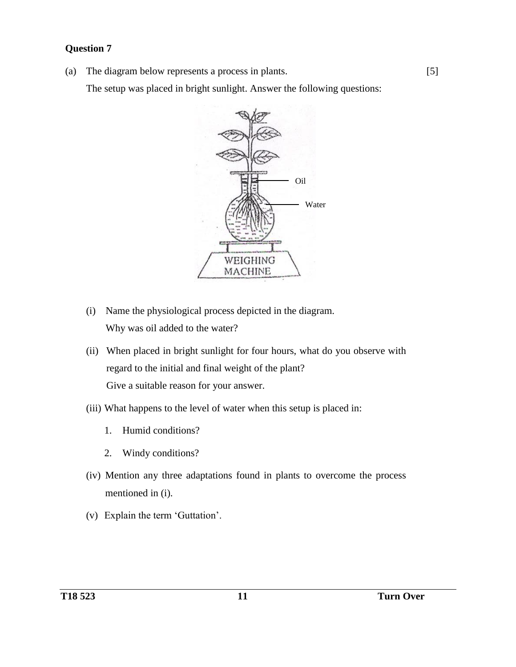## **Question 7**

(a) The diagram below represents a process in plants.

The setup was placed in bright sunlight. Answer the following questions:



- (i) Name the physiological process depicted in the diagram. Why was oil added to the water?
- (ii) When placed in bright sunlight for four hours, what do you observe with regard to the initial and final weight of the plant? Give a suitable reason for your answer.
- (iii) What happens to the level of water when this setup is placed in:
	- 1. Humid conditions?
	- 2. Windy conditions?
- (iv) Mention any three adaptations found in plants to overcome the process mentioned in (i).
- (v) Explain the term 'Guttation'.